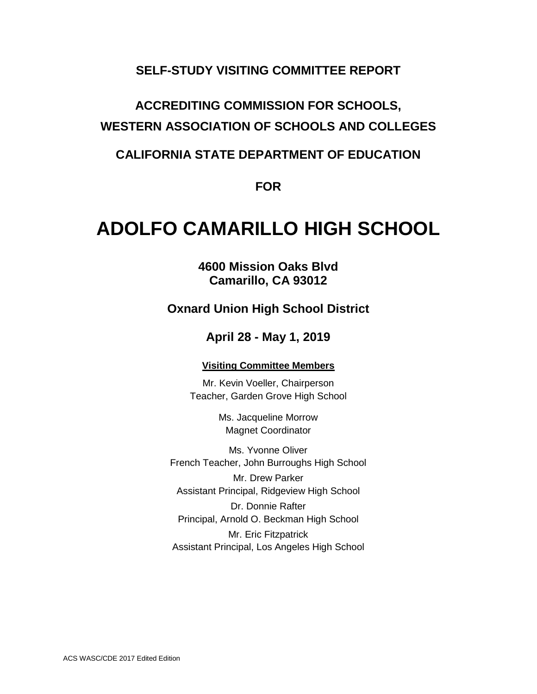### **SELF-STUDY VISITING COMMITTEE REPORT**

# **ACCREDITING COMMISSION FOR SCHOOLS, WESTERN ASSOCIATION OF SCHOOLS AND COLLEGES**

### **CALIFORNIA STATE DEPARTMENT OF EDUCATION**

**FOR**

# **ADOLFO CAMARILLO HIGH SCHOOL**

**4600 Mission Oaks Blvd Camarillo, CA 93012**

### **Oxnard Union High School District**

### **April 28 - May 1, 2019**

#### **Visiting Committee Members**

Mr. Kevin Voeller, Chairperson Teacher, Garden Grove High School

> Ms. Jacqueline Morrow Magnet Coordinator

Ms. Yvonne Oliver French Teacher, John Burroughs High School Mr. Drew Parker Assistant Principal, Ridgeview High School Dr. Donnie Rafter

Principal, Arnold O. Beckman High School Mr. Eric Fitzpatrick

Assistant Principal, Los Angeles High School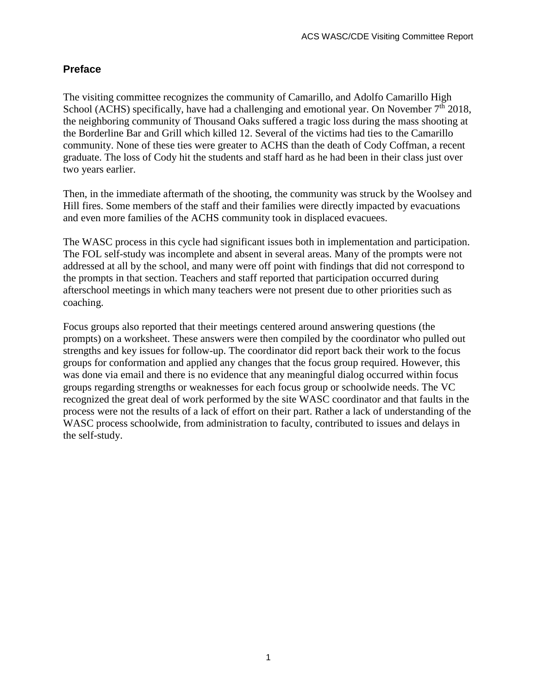### **Preface**

The visiting committee recognizes the community of Camarillo, and Adolfo Camarillo High School (ACHS) specifically, have had a challenging and emotional year. On November  $7<sup>th</sup> 2018$ , the neighboring community of Thousand Oaks suffered a tragic loss during the mass shooting at the Borderline Bar and Grill which killed 12. Several of the victims had ties to the Camarillo community. None of these ties were greater to ACHS than the death of Cody Coffman, a recent graduate. The loss of Cody hit the students and staff hard as he had been in their class just over two years earlier.

Then, in the immediate aftermath of the shooting, the community was struck by the Woolsey and Hill fires. Some members of the staff and their families were directly impacted by evacuations and even more families of the ACHS community took in displaced evacuees.

The WASC process in this cycle had significant issues both in implementation and participation. The FOL self-study was incomplete and absent in several areas. Many of the prompts were not addressed at all by the school, and many were off point with findings that did not correspond to the prompts in that section. Teachers and staff reported that participation occurred during afterschool meetings in which many teachers were not present due to other priorities such as coaching.

Focus groups also reported that their meetings centered around answering questions (the prompts) on a worksheet. These answers were then compiled by the coordinator who pulled out strengths and key issues for follow-up. The coordinator did report back their work to the focus groups for conformation and applied any changes that the focus group required. However, this was done via email and there is no evidence that any meaningful dialog occurred within focus groups regarding strengths or weaknesses for each focus group or schoolwide needs. The VC recognized the great deal of work performed by the site WASC coordinator and that faults in the process were not the results of a lack of effort on their part. Rather a lack of understanding of the WASC process schoolwide, from administration to faculty, contributed to issues and delays in the self-study.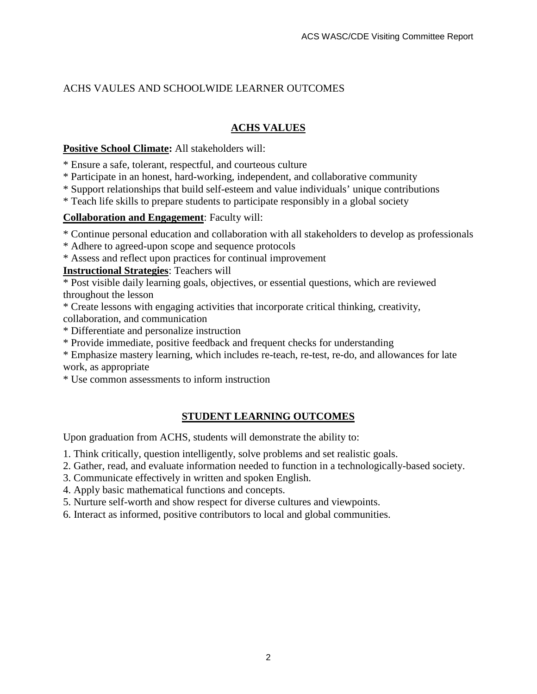### ACHS VAULES AND SCHOOLWIDE LEARNER OUTCOMES

#### **ACHS VALUES**

#### **Positive School Climate:** All stakeholders will:

- \* Ensure a safe, tolerant, respectful, and courteous culture
- \* Participate in an honest, hard-working, independent, and collaborative community
- \* Support relationships that build self-esteem and value individuals' unique contributions
- \* Teach life skills to prepare students to participate responsibly in a global society

#### **Collaboration and Engagement**: Faculty will:

\* Continue personal education and collaboration with all stakeholders to develop as professionals

- \* Adhere to agreed-upon scope and sequence protocols
- \* Assess and reflect upon practices for continual improvement

#### **Instructional Strategies**: Teachers will

\* Post visible daily learning goals, objectives, or essential questions, which are reviewed throughout the lesson

- \* Create lessons with engaging activities that incorporate critical thinking, creativity,
- collaboration, and communication
- \* Differentiate and personalize instruction
- \* Provide immediate, positive feedback and frequent checks for understanding
- \* Emphasize mastery learning, which includes re-teach, re-test, re-do, and allowances for late work, as appropriate
- \* Use common assessments to inform instruction

#### **STUDENT LEARNING OUTCOMES**

Upon graduation from ACHS, students will demonstrate the ability to:

- 1. Think critically, question intelligently, solve problems and set realistic goals.
- 2. Gather, read, and evaluate information needed to function in a technologically-based society.
- 3. Communicate effectively in written and spoken English.
- 4. Apply basic mathematical functions and concepts.
- 5. Nurture self-worth and show respect for diverse cultures and viewpoints.
- 6. Interact as informed, positive contributors to local and global communities.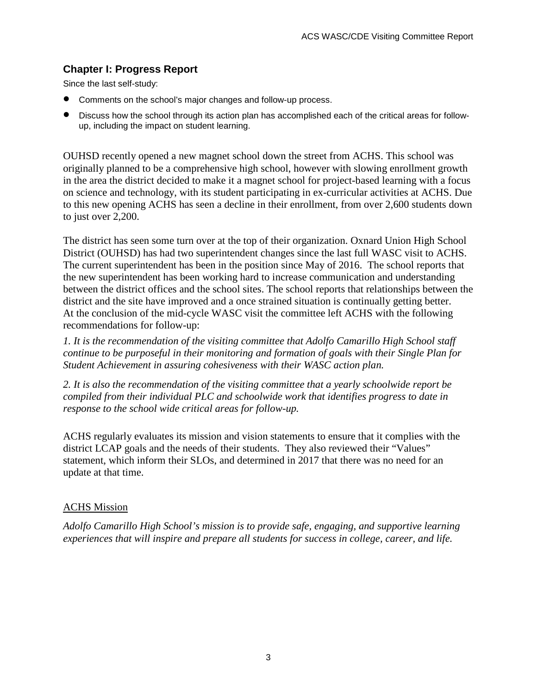### **Chapter I: Progress Report**

Since the last self-study:

- Comments on the school's major changes and follow-up process.
- Discuss how the school through its action plan has accomplished each of the critical areas for followup, including the impact on student learning.

OUHSD recently opened a new magnet school down the street from ACHS. This school was originally planned to be a comprehensive high school, however with slowing enrollment growth in the area the district decided to make it a magnet school for project-based learning with a focus on science and technology, with its student participating in ex-curricular activities at ACHS. Due to this new opening ACHS has seen a decline in their enrollment, from over 2,600 students down to just over 2,200.

The district has seen some turn over at the top of their organization. Oxnard Union High School District (OUHSD) has had two superintendent changes since the last full WASC visit to ACHS. The current superintendent has been in the position since May of 2016. The school reports that the new superintendent has been working hard to increase communication and understanding between the district offices and the school sites. The school reports that relationships between the district and the site have improved and a once strained situation is continually getting better. At the conclusion of the mid-cycle WASC visit the committee left ACHS with the following recommendations for follow-up:

*1. It is the recommendation of the visiting committee that Adolfo Camarillo High School staff continue to be purposeful in their monitoring and formation of goals with their Single Plan for Student Achievement in assuring cohesiveness with their WASC action plan.* 

*2. It is also the recommendation of the visiting committee that a yearly schoolwide report be compiled from their individual PLC and schoolwide work that identifies progress to date in response to the school wide critical areas for follow-up.* 

ACHS regularly evaluates its mission and vision statements to ensure that it complies with the district LCAP goals and the needs of their students. They also reviewed their "Values" statement, which inform their SLOs, and determined in 2017 that there was no need for an update at that time.

#### ACHS Mission

*Adolfo Camarillo High School's mission is to provide safe, engaging, and supportive learning experiences that will inspire and prepare all students for success in college, career, and life.*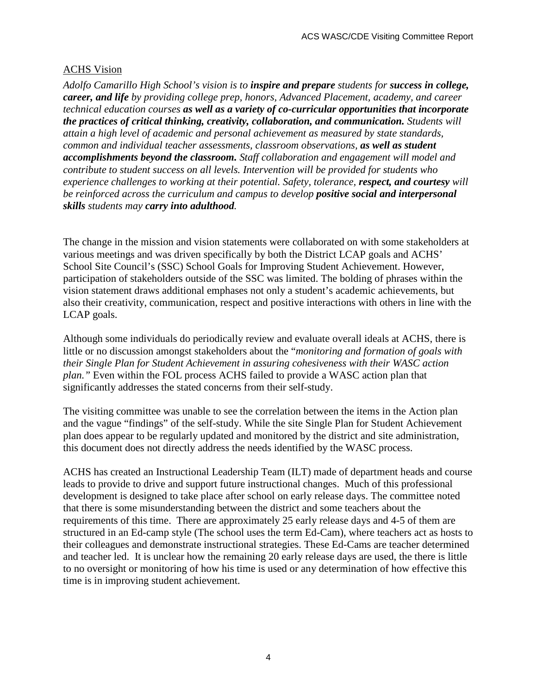#### ACHS Vision

*Adolfo Camarillo High School's vision is to inspire and prepare students for success in college, career, and life by providing college prep, honors, Advanced Placement, academy, and career technical education courses as well as a variety of co-curricular opportunities that incorporate the practices of critical thinking, creativity, collaboration, and communication. Students will attain a high level of academic and personal achievement as measured by state standards, common and individual teacher assessments, classroom observations, as well as student accomplishments beyond the classroom. Staff collaboration and engagement will model and contribute to student success on all levels. Intervention will be provided for students who experience challenges to working at their potential. Safety, tolerance, respect, and courtesy will be reinforced across the curriculum and campus to develop positive social and interpersonal skills students may carry into adulthood.*

The change in the mission and vision statements were collaborated on with some stakeholders at various meetings and was driven specifically by both the District LCAP goals and ACHS' School Site Council's (SSC) School Goals for Improving Student Achievement. However, participation of stakeholders outside of the SSC was limited. The bolding of phrases within the vision statement draws additional emphases not only a student's academic achievements, but also their creativity, communication, respect and positive interactions with others in line with the LCAP goals.

Although some individuals do periodically review and evaluate overall ideals at ACHS, there is little or no discussion amongst stakeholders about the "*monitoring and formation of goals with their Single Plan for Student Achievement in assuring cohesiveness with their WASC action plan."* Even within the FOL process ACHS failed to provide a WASC action plan that significantly addresses the stated concerns from their self-study.

The visiting committee was unable to see the correlation between the items in the Action plan and the vague "findings" of the self-study. While the site Single Plan for Student Achievement plan does appear to be regularly updated and monitored by the district and site administration, this document does not directly address the needs identified by the WASC process.

ACHS has created an Instructional Leadership Team (ILT) made of department heads and course leads to provide to drive and support future instructional changes. Much of this professional development is designed to take place after school on early release days. The committee noted that there is some misunderstanding between the district and some teachers about the requirements of this time. There are approximately 25 early release days and 4-5 of them are structured in an Ed-camp style (The school uses the term Ed-Cam), where teachers act as hosts to their colleagues and demonstrate instructional strategies. These Ed-Cams are teacher determined and teacher led. It is unclear how the remaining 20 early release days are used, the there is little to no oversight or monitoring of how his time is used or any determination of how effective this time is in improving student achievement.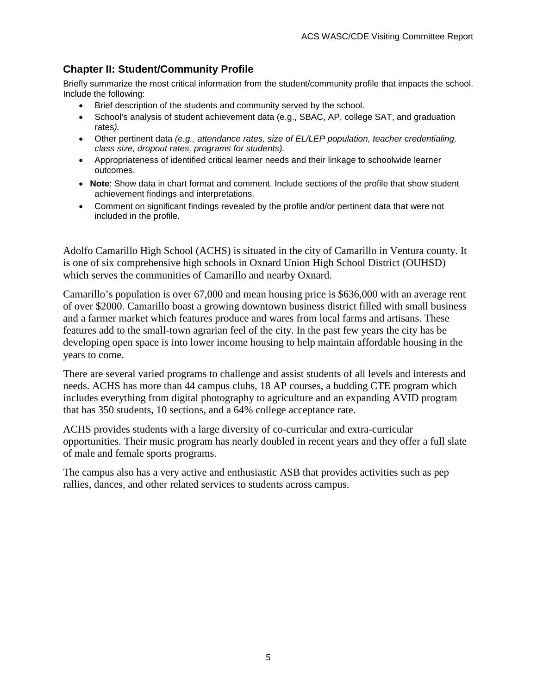### **Chapter II: Student/Community Profile**

Briefly summarize the most critical information from the student/community profile that impacts the school. Include the following:

- Brief description of the students and community served by the school.
- School's analysis of student achievement data (e.g., SBAC, AP, college SAT, and graduation rates*).*
- Other pertinent data *(e.g., attendance rates, size of EL/LEP population, teacher credentialing, class size, dropout rates, programs for students).*
- Appropriateness of identified critical learner needs and their linkage to schoolwide learner outcomes.
- **Note**: Show data in chart format and comment. Include sections of the profile that show student achievement findings and interpretations.
- Comment on significant findings revealed by the profile and/or pertinent data that were not included in the profile.

Adolfo Camarillo High School (ACHS) is situated in the city of Camarillo in Ventura county. It is one of six comprehensive high schools in Oxnard Union High School District (OUHSD) which serves the communities of Camarillo and nearby Oxnard.

Camarillo's population is over 67,000 and mean housing price is \$636,000 with an average rent of over \$2000. Camarillo boast a growing downtown business district filled with small business and a farmer market which features produce and wares from local farms and artisans. These features add to the small-town agrarian feel of the city. In the past few years the city has be developing open space is into lower income housing to help maintain affordable housing in the years to come.

There are several varied programs to challenge and assist students of all levels and interests and needs. ACHS has more than 44 campus clubs, 18 AP courses, a budding CTE program which includes everything from digital photography to agriculture and an expanding AVID program that has 350 students, 10 sections, and a 64% college acceptance rate.

ACHS provides students with a large diversity of co-curricular and extra-curricular opportunities. Their music program has nearly doubled in recent years and they offer a full slate of male and female sports programs.

The campus also has a very active and enthusiastic ASB that provides activities such as pep rallies, dances, and other related services to students across campus.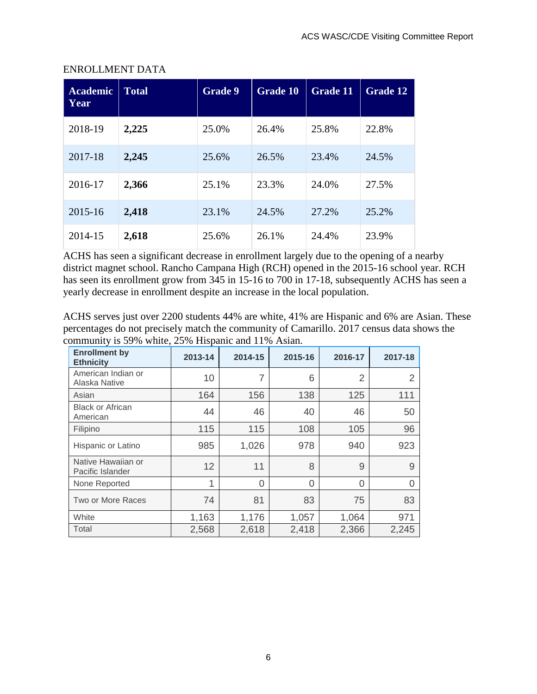| <b>Academic</b><br>Year | <b>Total</b> | Grade 9 | <b>Grade 10</b> | <b>Grade 11</b> | <b>Grade 12</b> |
|-------------------------|--------------|---------|-----------------|-----------------|-----------------|
| 2018-19                 | 2,225        | 25.0%   | 26.4%           | 25.8%           | 22.8%           |
| 2017-18                 | 2,245        | 25.6%   | 26.5%           | 23.4%           | 24.5%           |
| 2016-17                 | 2,366        | 25.1%   | 23.3%           | 24.0%           | 27.5%           |
| 2015-16                 | 2,418        | 23.1%   | 24.5%           | 27.2%           | 25.2%           |
| 2014-15                 | 2,618        | 25.6%   | 26.1%           | 24.4%           | 23.9%           |

#### ENROLLMENT DATA

ACHS has seen a significant decrease in enrollment largely due to the opening of a nearby district magnet school. Rancho Campana High (RCH) opened in the 2015-16 school year. RCH has seen its enrollment grow from 345 in 15-16 to 700 in 17-18, subsequently ACHS has seen a yearly decrease in enrollment despite an increase in the local population.

ACHS serves just over 2200 students 44% are white, 41% are Hispanic and 6% are Asian. These percentages do not precisely match the community of Camarillo. 2017 census data shows the community is 59% white, 25% Hispanic and 11% Asian.

| <b>Enrollment by</b><br><b>Ethnicity</b> | 2013-14 | 2014-15 | 2015-16 | 2016-17        | 2017-18 |
|------------------------------------------|---------|---------|---------|----------------|---------|
| American Indian or<br>Alaska Native      | 10      | 7       | 6       | $\overline{2}$ |         |
| Asian                                    | 164     | 156     | 138     | 125            | 111     |
| <b>Black or African</b><br>American      | 44      | 46      | 40      | 46             | 50      |
| Filipino                                 | 115     | 115     | 108     | 105            | 96      |
| Hispanic or Latino                       | 985     | 1,026   | 978     | 940            | 923     |
| Native Hawaiian or<br>Pacific Islander   | 12      | 11      | 8       | 9              | 9       |
| None Reported                            | 1       | 0       | 0       | $\Omega$       | Ω       |
| Two or More Races                        | 74      | 81      | 83      | 75             | 83      |
| White                                    | 1,163   | 1,176   | 1,057   | 1,064          | 971     |
| Total                                    | 2,568   | 2,618   | 2,418   | 2,366          | 2,245   |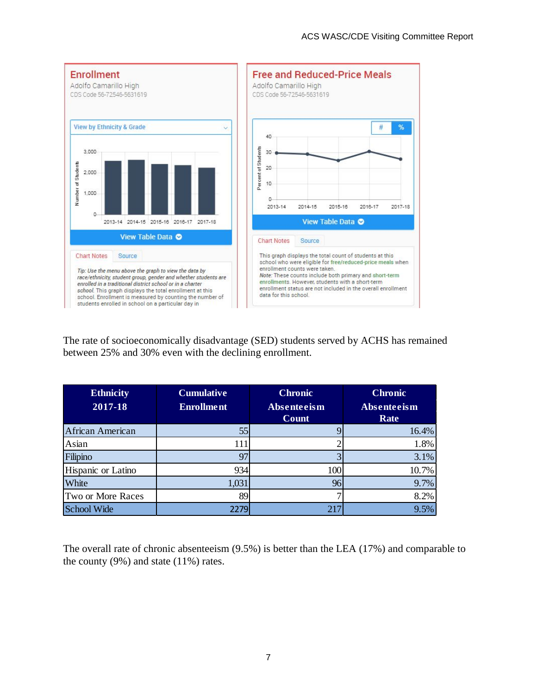

The rate of socioeconomically disadvantage (SED) students served by ACHS has remained between 25% and 30% even with the declining enrollment.

| <b>Ethnicity</b><br>2017-18 | <b>Cumulative</b><br><b>Enrollment</b> | <b>Chronic</b><br>Absenteeism | <b>Chronic</b><br>Absenteeism |  |
|-----------------------------|----------------------------------------|-------------------------------|-------------------------------|--|
|                             |                                        | Count                         | Rate                          |  |
| African American            | 55                                     |                               | 16.4%                         |  |
| Asian                       | 111                                    |                               | 1.8%                          |  |
| Filipino                    | 97                                     |                               | 3.1%                          |  |
| Hispanic or Latino          | 934                                    | 100                           | 10.7%                         |  |
| White                       | 1,031                                  | 96                            | 9.7%                          |  |
| Two or More Races           | 89                                     |                               | 8.2%                          |  |
| School Wide                 | 2279                                   | 217                           | 9.5%                          |  |

The overall rate of chronic absenteeism (9.5%) is better than the LEA (17%) and comparable to the county  $(9\%)$  and state  $(11\%)$  rates.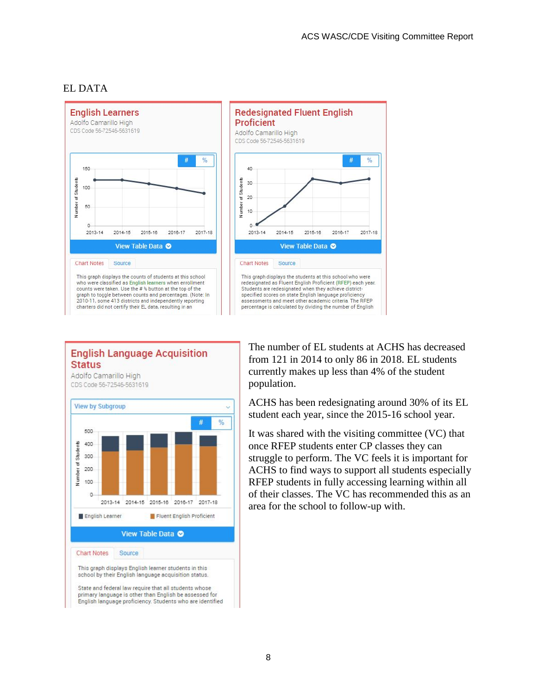

### EL DATA

#### **English Language Acquisition Status**

Adolfo Camarillo High CDS Code 56-72546-5631619



The number of EL students at ACHS has decreased from 121 in 2014 to only 86 in 2018. EL students currently makes up less than 4% of the student population.

ACHS has been redesignating around 30% of its EL student each year, since the 2015-16 school year.

It was shared with the visiting committee (VC) that once RFEP students enter CP classes they can struggle to perform. The VC feels it is important for ACHS to find ways to support all students especially RFEP students in fully accessing learning within all of their classes. The VC has recommended this as an area for the school to follow-up with.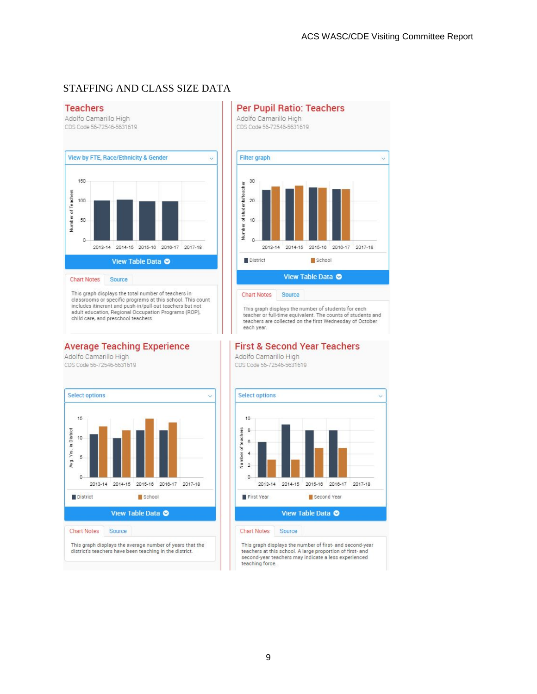#### STAFFING AND CLASS SIZE DATA





This graph displays the number of students for each<br>teacher or full-time equivalent. The counts of students and teachers are collected on the first Wednesday of October each year.

#### **First & Second Year Teachers**

Adolfo Camarillo High CDS Code 56-72546-5631619



This graph displays the number of first- and second-year<br>teachers at this school. A large proportion of first- and second-year teachers may indicate a less experienced teaching force

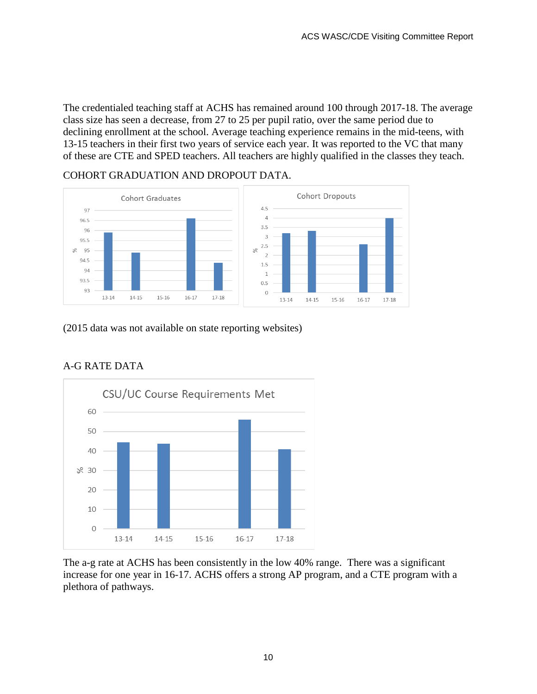The credentialed teaching staff at ACHS has remained around 100 through 2017-18. The average class size has seen a decrease, from 27 to 25 per pupil ratio, over the same period due to declining enrollment at the school. Average teaching experience remains in the mid-teens, with 13-15 teachers in their first two years of service each year. It was reported to the VC that many of these are CTE and SPED teachers. All teachers are highly qualified in the classes they teach.

#### COHORT GRADUATION AND DROPOUT DATA.



(2015 data was not available on state reporting websites)



### A-G RATE DATA

The a-g rate at ACHS has been consistently in the low 40% range. There was a significant increase for one year in 16-17. ACHS offers a strong AP program, and a CTE program with a plethora of pathways.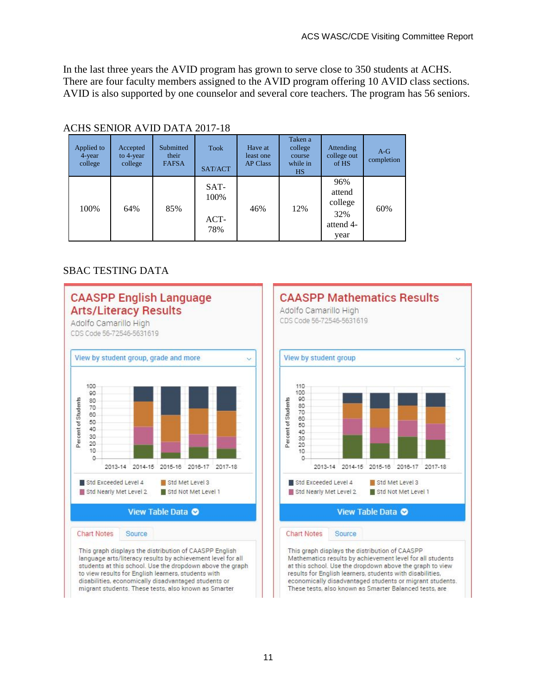In the last three years the AVID program has grown to serve close to 350 students at ACHS. There are four faculty members assigned to the AVID program offering 10 AVID class sections. AVID is also supported by one counselor and several core teachers. The program has 56 seniors.

| <u>XXIII) DENVIXIX IID DIXIIX 2017 TO</u> |                                     |                                    |                                 |                                         |                                                       |                                                      |                     |
|-------------------------------------------|-------------------------------------|------------------------------------|---------------------------------|-----------------------------------------|-------------------------------------------------------|------------------------------------------------------|---------------------|
| Applied to<br>4-year<br>college           | Accepted<br>to $4$ -year<br>college | Submitted<br>their<br><b>FAFSA</b> | <b>Took</b><br>SAT/ACT          | Have at<br>least one<br><b>AP Class</b> | Taken a<br>college<br>course<br>while in<br><b>HS</b> | Attending<br>college out<br>of HS                    | $A-G$<br>completion |
| 100%                                      | 64%                                 | 85%                                | $SAT-$<br>100%<br>$ACT-$<br>78% | 46%                                     | 12%                                                   | 96%<br>attend<br>college<br>32%<br>attend 4-<br>year | 60%                 |

#### ACHS SENIOR AVID DATA 2017-18

#### SBAC TESTING DATA

**CAASPP English Language** 



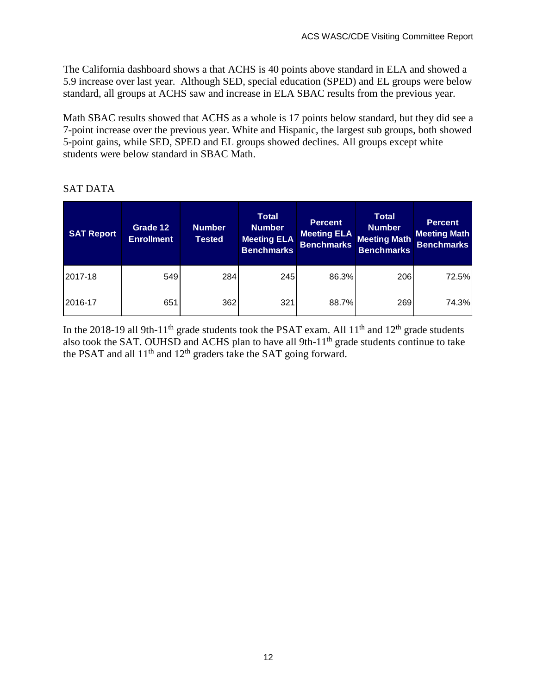The California dashboard shows a that ACHS is 40 points above standard in ELA and showed a 5.9 increase over last year. Although SED, special education (SPED) and EL groups were below standard, all groups at ACHS saw and increase in ELA SBAC results from the previous year.

Math SBAC results showed that ACHS as a whole is 17 points below standard, but they did see a 7-point increase over the previous year. White and Hispanic, the largest sub groups, both showed 5-point gains, while SED, SPED and EL groups showed declines. All groups except white students were below standard in SBAC Math.

#### **SAT Report Grade 12 Enrollment Number Tested Total Number Meeting ELA Benchmarks Percent Meeting ELA Benchmarks Total Number Meeting Math Benchmarks Percent Meeting Math Benchmarks** 2017-18 | 549 284| 245| 86.3%| 206| 72.5% 2016-17 651 362 321 88.7% 269 74.3%

### SAT DATA

In the 2018-19 all 9th-11<sup>th</sup> grade students took the PSAT exam. All 11<sup>th</sup> and 12<sup>th</sup> grade students also took the SAT. OUHSD and ACHS plan to have all 9th- $11<sup>th</sup>$  grade students continue to take the PSAT and all  $11<sup>th</sup>$  and  $12<sup>th</sup>$  graders take the SAT going forward.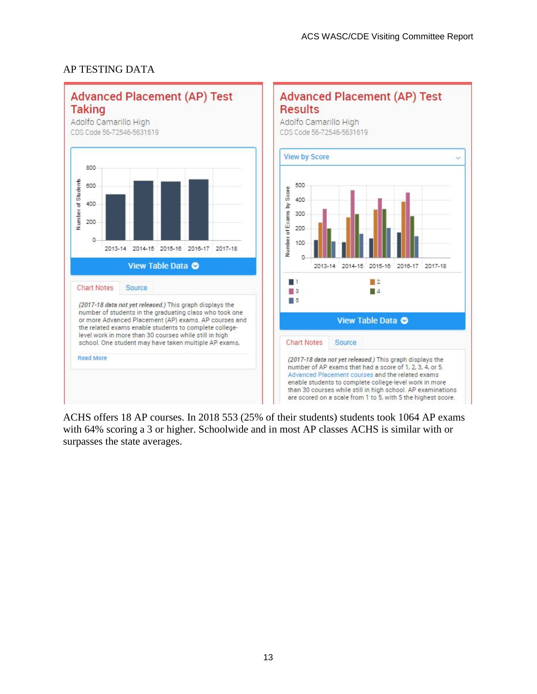

### AP TESTING DATA

ACHS offers 18 AP courses. In 2018 553 (25% of their students) students took 1064 AP exams with 64% scoring a 3 or higher. Schoolwide and in most AP classes ACHS is similar with or surpasses the state averages.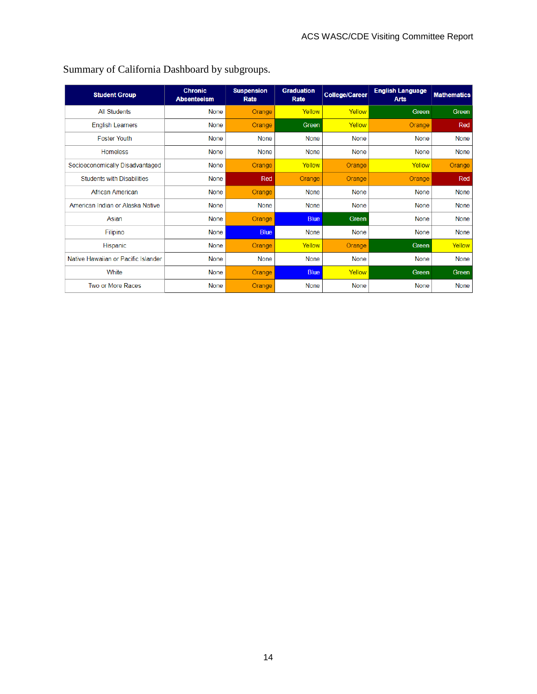| <b>Student Group</b>                | <b>Chronic</b><br><b>Absenteeism</b> | <b>Suspension</b><br>Rate | <b>Graduation</b><br>Rate | <b>College/Career</b> | <b>English Language</b><br><b>Arts</b> | <b>Mathematics</b> |
|-------------------------------------|--------------------------------------|---------------------------|---------------------------|-----------------------|----------------------------------------|--------------------|
| <b>All Students</b>                 | <b>None</b>                          | Orange                    | Yellow                    | Yellow                | <b>Green</b>                           | Green              |
| <b>English Learners</b>             | <b>None</b>                          | Orange                    | Green                     | Yellow                | Orange                                 | Red                |
| <b>Foster Youth</b>                 | <b>None</b>                          | None                      | None                      | <b>None</b>           | None                                   | <b>None</b>        |
| <b>Homeless</b>                     | <b>None</b>                          | <b>None</b>               | <b>None</b>               | <b>None</b>           | <b>None</b>                            | None               |
| Socioeconomically Disadvantaged     | <b>None</b>                          | Orange                    | Yellow                    | Orange                | Yellow                                 | Orange             |
| <b>Students with Disabilities</b>   | None                                 | Red                       | Orange                    | <b>Orange</b>         | Orange                                 | Red                |
| African American                    | <b>None</b>                          | Orange                    | <b>None</b>               | None                  | <b>None</b>                            | None               |
| American Indian or Alaska Native    | <b>None</b>                          | <b>None</b>               | None                      | None                  | None                                   | None               |
| Asian                               | <b>None</b>                          | Orange                    | <b>Blue</b>               | Green                 | None                                   | <b>None</b>        |
| Filipino                            | <b>None</b>                          | <b>Blue</b>               | <b>None</b>               | None                  | <b>None</b>                            | None               |
| Hispanic                            | <b>None</b>                          | Orange                    | Yellow                    | Orange                | Green                                  | Yellow             |
| Native Hawaiian or Pacific Islander | <b>None</b>                          | None                      | <b>None</b>               | <b>None</b>           | <b>None</b>                            | <b>None</b>        |
| White                               | <b>None</b>                          | Orange                    | <b>Blue</b>               | Yellow                | <b>Green</b>                           | Green              |
| Two or More Races                   | <b>None</b>                          | Orange                    | <b>None</b>               | None                  | <b>None</b>                            | None               |

## Summary of California Dashboard by subgroups.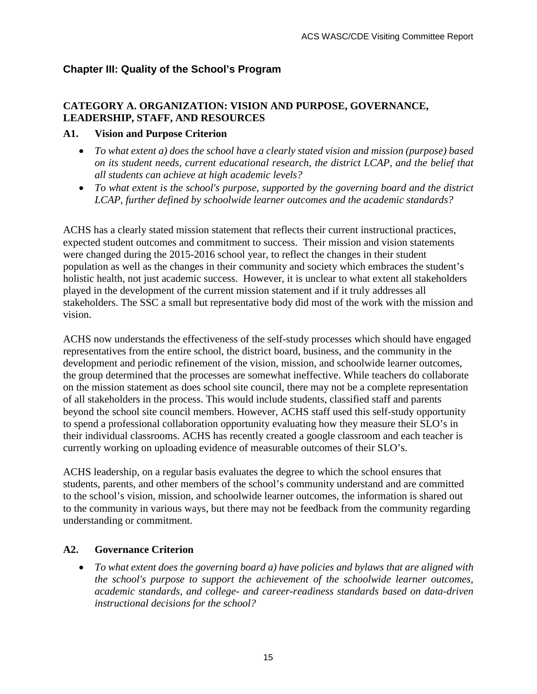### **Chapter III: Quality of the School's Program**

### **CATEGORY A. ORGANIZATION: VISION AND PURPOSE, GOVERNANCE, LEADERSHIP, STAFF, AND RESOURCES**

#### **A1. Vision and Purpose Criterion**

- *To what extent a) does the school have a clearly stated vision and mission (purpose) based on its student needs, current educational research, the district LCAP, and the belief that all students can achieve at high academic levels?*
- *To what extent is the school's purpose, supported by the governing board and the district LCAP, further defined by schoolwide learner outcomes and the academic standards?*

ACHS has a clearly stated mission statement that reflects their current instructional practices, expected student outcomes and commitment to success. Their mission and vision statements were changed during the 2015-2016 school year, to reflect the changes in their student population as well as the changes in their community and society which embraces the student's holistic health, not just academic success. However, it is unclear to what extent all stakeholders played in the development of the current mission statement and if it truly addresses all stakeholders. The SSC a small but representative body did most of the work with the mission and vision.

ACHS now understands the effectiveness of the self-study processes which should have engaged representatives from the entire school, the district board, business, and the community in the development and periodic refinement of the vision, mission, and schoolwide learner outcomes, the group determined that the processes are somewhat ineffective. While teachers do collaborate on the mission statement as does school site council, there may not be a complete representation of all stakeholders in the process. This would include students, classified staff and parents beyond the school site council members. However, ACHS staff used this self-study opportunity to spend a professional collaboration opportunity evaluating how they measure their SLO's in their individual classrooms. ACHS has recently created a google classroom and each teacher is currently working on uploading evidence of measurable outcomes of their SLO's.

ACHS leadership, on a regular basis evaluates the degree to which the school ensures that students, parents, and other members of the school's community understand and are committed to the school's vision, mission, and schoolwide learner outcomes, the information is shared out to the community in various ways, but there may not be feedback from the community regarding understanding or commitment.

### **A2. Governance Criterion**

• *To what extent does the governing board a) have policies and bylaws that are aligned with the school's purpose to support the achievement of the schoolwide learner outcomes, academic standards, and college- and career-readiness standards based on data-driven instructional decisions for the school?*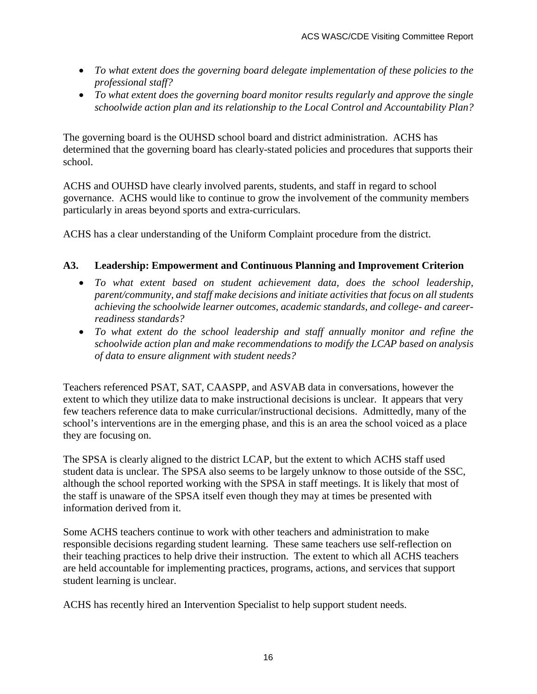- *To what extent does the governing board delegate implementation of these policies to the professional staff?*
- *To what extent does the governing board monitor results regularly and approve the single schoolwide action plan and its relationship to the Local Control and Accountability Plan?*

The governing board is the OUHSD school board and district administration. ACHS has determined that the governing board has clearly-stated policies and procedures that supports their school.

ACHS and OUHSD have clearly involved parents, students, and staff in regard to school governance. ACHS would like to continue to grow the involvement of the community members particularly in areas beyond sports and extra-curriculars.

ACHS has a clear understanding of the Uniform Complaint procedure from the district.

### **A3. Leadership: Empowerment and Continuous Planning and Improvement Criterion**

- *To what extent based on student achievement data, does the school leadership, parent/community, and staff make decisions and initiate activities that focus on all students achieving the schoolwide learner outcomes, academic standards, and college- and careerreadiness standards?*
- *To what extent do the school leadership and staff annually monitor and refine the schoolwide action plan and make recommendations to modify the LCAP based on analysis of data to ensure alignment with student needs?*

Teachers referenced PSAT, SAT, CAASPP, and ASVAB data in conversations, however the extent to which they utilize data to make instructional decisions is unclear. It appears that very few teachers reference data to make curricular/instructional decisions. Admittedly, many of the school's interventions are in the emerging phase, and this is an area the school voiced as a place they are focusing on.

The SPSA is clearly aligned to the district LCAP, but the extent to which ACHS staff used student data is unclear. The SPSA also seems to be largely unknow to those outside of the SSC, although the school reported working with the SPSA in staff meetings. It is likely that most of the staff is unaware of the SPSA itself even though they may at times be presented with information derived from it.

Some ACHS teachers continue to work with other teachers and administration to make responsible decisions regarding student learning. These same teachers use self-reflection on their teaching practices to help drive their instruction. The extent to which all ACHS teachers are held accountable for implementing practices, programs, actions, and services that support student learning is unclear.

ACHS has recently hired an Intervention Specialist to help support student needs.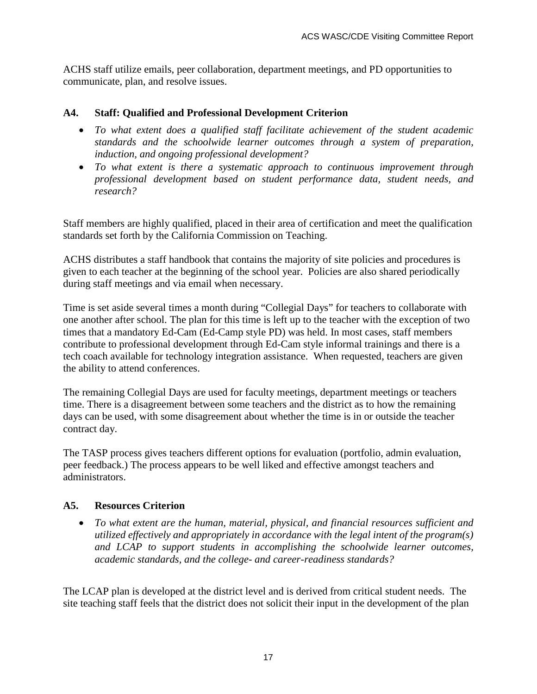ACHS staff utilize emails, peer collaboration, department meetings, and PD opportunities to communicate, plan, and resolve issues.

#### **A4. Staff: Qualified and Professional Development Criterion**

- *To what extent does a qualified staff facilitate achievement of the student academic standards and the schoolwide learner outcomes through a system of preparation, induction, and ongoing professional development?*
- *To what extent is there a systematic approach to continuous improvement through professional development based on student performance data, student needs, and research?*

Staff members are highly qualified, placed in their area of certification and meet the qualification standards set forth by the California Commission on Teaching.

ACHS distributes a staff handbook that contains the majority of site policies and procedures is given to each teacher at the beginning of the school year. Policies are also shared periodically during staff meetings and via email when necessary.

Time is set aside several times a month during "Collegial Days" for teachers to collaborate with one another after school. The plan for this time is left up to the teacher with the exception of two times that a mandatory Ed-Cam (Ed-Camp style PD) was held. In most cases, staff members contribute to professional development through Ed-Cam style informal trainings and there is a tech coach available for technology integration assistance. When requested, teachers are given the ability to attend conferences.

The remaining Collegial Days are used for faculty meetings, department meetings or teachers time. There is a disagreement between some teachers and the district as to how the remaining days can be used, with some disagreement about whether the time is in or outside the teacher contract day.

The TASP process gives teachers different options for evaluation (portfolio, admin evaluation, peer feedback.) The process appears to be well liked and effective amongst teachers and administrators.

#### **A5. Resources Criterion**

• *To what extent are the human, material, physical, and financial resources sufficient and utilized effectively and appropriately in accordance with the legal intent of the program(s) and LCAP to support students in accomplishing the schoolwide learner outcomes, academic standards, and the college- and career-readiness standards?*

The LCAP plan is developed at the district level and is derived from critical student needs. The site teaching staff feels that the district does not solicit their input in the development of the plan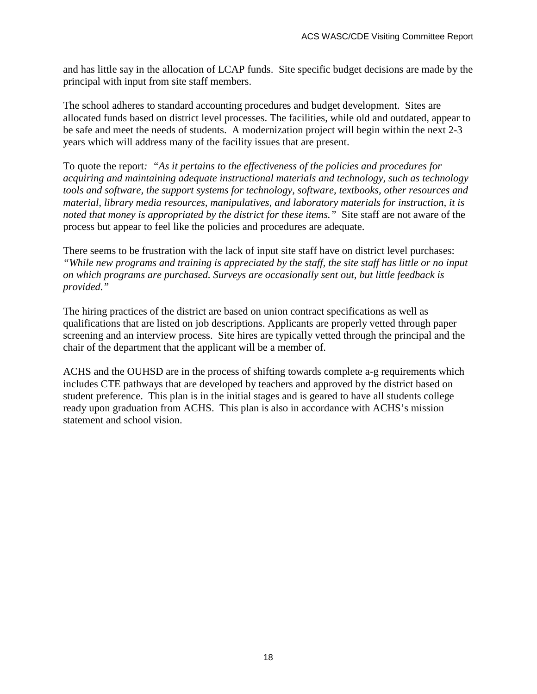and has little say in the allocation of LCAP funds. Site specific budget decisions are made by the principal with input from site staff members.

The school adheres to standard accounting procedures and budget development. Sites are allocated funds based on district level processes. The facilities, while old and outdated, appear to be safe and meet the needs of students. A modernization project will begin within the next 2-3 years which will address many of the facility issues that are present.

To quote the report*: "As it pertains to the effectiveness of the policies and procedures for acquiring and maintaining adequate instructional materials and technology, such as technology tools and software, the support systems for technology, software, textbooks, other resources and material, library media resources, manipulatives, and laboratory materials for instruction, it is noted that money is appropriated by the district for these items."* Site staff are not aware of the process but appear to feel like the policies and procedures are adequate.

There seems to be frustration with the lack of input site staff have on district level purchases: *"While new programs and training is appreciated by the staff, the site staff has little or no input on which programs are purchased. Surveys are occasionally sent out, but little feedback is provided."*

The hiring practices of the district are based on union contract specifications as well as qualifications that are listed on job descriptions. Applicants are properly vetted through paper screening and an interview process. Site hires are typically vetted through the principal and the chair of the department that the applicant will be a member of.

ACHS and the OUHSD are in the process of shifting towards complete a-g requirements which includes CTE pathways that are developed by teachers and approved by the district based on student preference. This plan is in the initial stages and is geared to have all students college ready upon graduation from ACHS. This plan is also in accordance with ACHS's mission statement and school vision.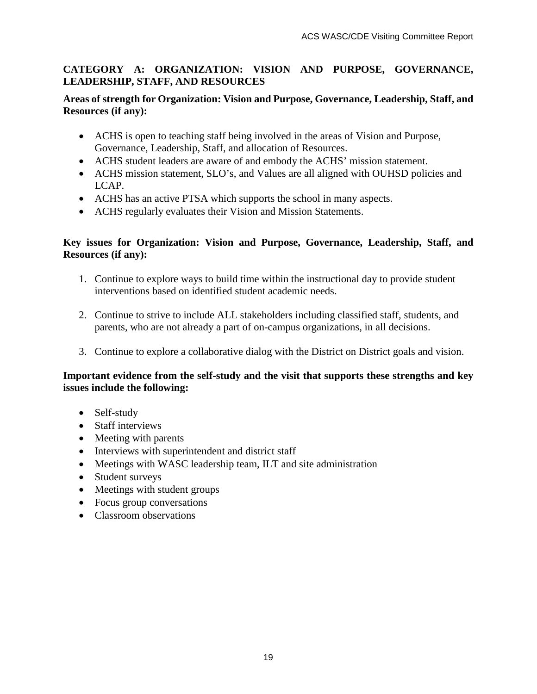#### **CATEGORY A: ORGANIZATION: VISION AND PURPOSE, GOVERNANCE, LEADERSHIP, STAFF, AND RESOURCES**

#### **Areas of strength for Organization: Vision and Purpose, Governance, Leadership, Staff, and Resources (if any):**

- ACHS is open to teaching staff being involved in the areas of Vision and Purpose, Governance, Leadership, Staff, and allocation of Resources.
- ACHS student leaders are aware of and embody the ACHS' mission statement.
- ACHS mission statement, SLO's, and Values are all aligned with OUHSD policies and LCAP.
- ACHS has an active PTSA which supports the school in many aspects.
- ACHS regularly evaluates their Vision and Mission Statements.

#### **Key issues for Organization: Vision and Purpose, Governance, Leadership, Staff, and Resources (if any):**

- 1. Continue to explore ways to build time within the instructional day to provide student interventions based on identified student academic needs.
- 2. Continue to strive to include ALL stakeholders including classified staff, students, and parents, who are not already a part of on-campus organizations, in all decisions.
- 3. Continue to explore a collaborative dialog with the District on District goals and vision.

#### **Important evidence from the self-study and the visit that supports these strengths and key issues include the following:**

- Self-study
- Staff interviews
- Meeting with parents
- Interviews with superintendent and district staff
- Meetings with WASC leadership team, ILT and site administration
- Student surveys
- Meetings with student groups
- Focus group conversations
- Classroom observations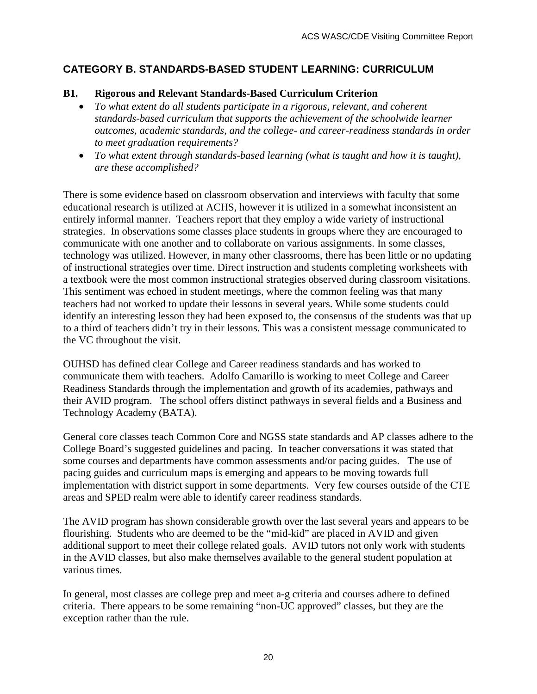### **CATEGORY B. STANDARDS-BASED STUDENT LEARNING: CURRICULUM**

#### **B1. Rigorous and Relevant Standards-Based Curriculum Criterion**

- *To what extent do all students participate in a rigorous, relevant, and coherent standards-based curriculum that supports the achievement of the schoolwide learner outcomes, academic standards, and the college- and career-readiness standards in order to meet graduation requirements?*
- *To what extent through standards-based learning (what is taught and how it is taught), are these accomplished?*

There is some evidence based on classroom observation and interviews with faculty that some educational research is utilized at ACHS, however it is utilized in a somewhat inconsistent an entirely informal manner. Teachers report that they employ a wide variety of instructional strategies. In observations some classes place students in groups where they are encouraged to communicate with one another and to collaborate on various assignments. In some classes, technology was utilized. However, in many other classrooms, there has been little or no updating of instructional strategies over time. Direct instruction and students completing worksheets with a textbook were the most common instructional strategies observed during classroom visitations. This sentiment was echoed in student meetings, where the common feeling was that many teachers had not worked to update their lessons in several years. While some students could identify an interesting lesson they had been exposed to, the consensus of the students was that up to a third of teachers didn't try in their lessons. This was a consistent message communicated to the VC throughout the visit.

OUHSD has defined clear College and Career readiness standards and has worked to communicate them with teachers. Adolfo Camarillo is working to meet College and Career Readiness Standards through the implementation and growth of its academies, pathways and their AVID program. The school offers distinct pathways in several fields and a Business and Technology Academy (BATA).

General core classes teach Common Core and NGSS state standards and AP classes adhere to the College Board's suggested guidelines and pacing. In teacher conversations it was stated that some courses and departments have common assessments and/or pacing guides. The use of pacing guides and curriculum maps is emerging and appears to be moving towards full implementation with district support in some departments. Very few courses outside of the CTE areas and SPED realm were able to identify career readiness standards.

The AVID program has shown considerable growth over the last several years and appears to be flourishing. Students who are deemed to be the "mid-kid" are placed in AVID and given additional support to meet their college related goals. AVID tutors not only work with students in the AVID classes, but also make themselves available to the general student population at various times.

In general, most classes are college prep and meet a-g criteria and courses adhere to defined criteria. There appears to be some remaining "non-UC approved" classes, but they are the exception rather than the rule.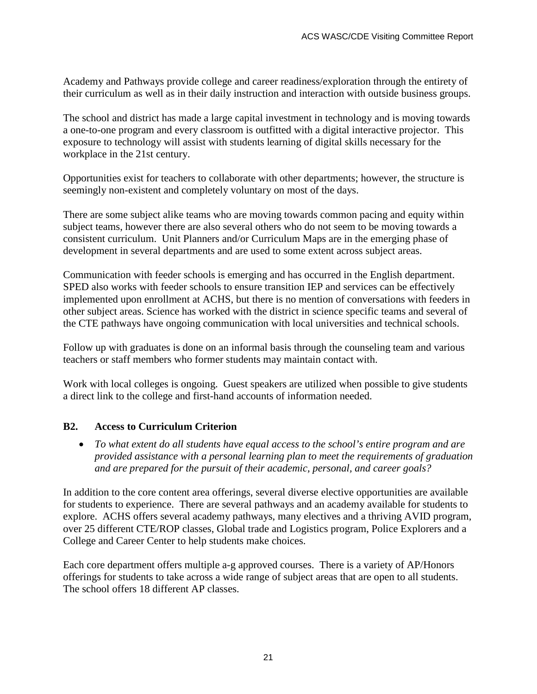Academy and Pathways provide college and career readiness/exploration through the entirety of their curriculum as well as in their daily instruction and interaction with outside business groups.

The school and district has made a large capital investment in technology and is moving towards a one-to-one program and every classroom is outfitted with a digital interactive projector. This exposure to technology will assist with students learning of digital skills necessary for the workplace in the 21st century.

Opportunities exist for teachers to collaborate with other departments; however, the structure is seemingly non-existent and completely voluntary on most of the days.

There are some subject alike teams who are moving towards common pacing and equity within subject teams, however there are also several others who do not seem to be moving towards a consistent curriculum. Unit Planners and/or Curriculum Maps are in the emerging phase of development in several departments and are used to some extent across subject areas.

Communication with feeder schools is emerging and has occurred in the English department. SPED also works with feeder schools to ensure transition IEP and services can be effectively implemented upon enrollment at ACHS, but there is no mention of conversations with feeders in other subject areas. Science has worked with the district in science specific teams and several of the CTE pathways have ongoing communication with local universities and technical schools.

Follow up with graduates is done on an informal basis through the counseling team and various teachers or staff members who former students may maintain contact with.

Work with local colleges is ongoing. Guest speakers are utilized when possible to give students a direct link to the college and first-hand accounts of information needed.

#### **B2. Access to Curriculum Criterion**

• *To what extent do all students have equal access to the school's entire program and are provided assistance with a personal learning plan to meet the requirements of graduation and are prepared for the pursuit of their academic, personal, and career goals?*

In addition to the core content area offerings, several diverse elective opportunities are available for students to experience. There are several pathways and an academy available for students to explore. ACHS offers several academy pathways, many electives and a thriving AVID program, over 25 different CTE/ROP classes, Global trade and Logistics program, Police Explorers and a College and Career Center to help students make choices.

Each core department offers multiple a-g approved courses. There is a variety of AP/Honors offerings for students to take across a wide range of subject areas that are open to all students. The school offers 18 different AP classes.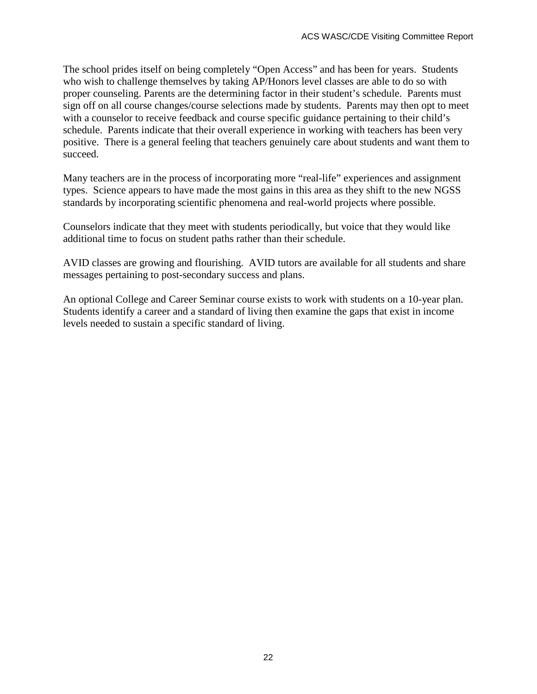The school prides itself on being completely "Open Access" and has been for years. Students who wish to challenge themselves by taking AP/Honors level classes are able to do so with proper counseling. Parents are the determining factor in their student's schedule. Parents must sign off on all course changes/course selections made by students. Parents may then opt to meet with a counselor to receive feedback and course specific guidance pertaining to their child's schedule. Parents indicate that their overall experience in working with teachers has been very positive. There is a general feeling that teachers genuinely care about students and want them to succeed.

Many teachers are in the process of incorporating more "real-life" experiences and assignment types. Science appears to have made the most gains in this area as they shift to the new NGSS standards by incorporating scientific phenomena and real-world projects where possible.

Counselors indicate that they meet with students periodically, but voice that they would like additional time to focus on student paths rather than their schedule.

AVID classes are growing and flourishing. AVID tutors are available for all students and share messages pertaining to post-secondary success and plans.

An optional College and Career Seminar course exists to work with students on a 10-year plan. Students identify a career and a standard of living then examine the gaps that exist in income levels needed to sustain a specific standard of living.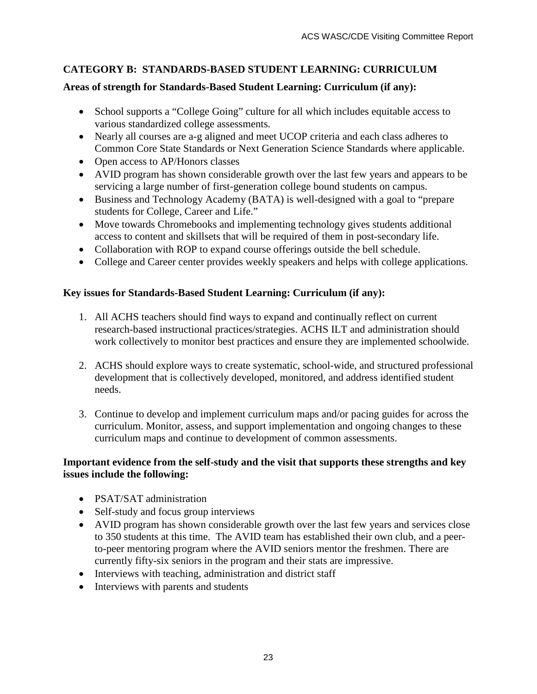# **CATEGORY B: STANDARDS-BASED STUDENT LEARNING: CURRICULUM**

### **Areas of strength for Standards-Based Student Learning: Curriculum (if any):**

- School supports a "College Going" culture for all which includes equitable access to various standardized college assessments.
- Nearly all courses are a-g aligned and meet UCOP criteria and each class adheres to Common Core State Standards or Next Generation Science Standards where applicable.
- Open access to AP/Honors classes
- AVID program has shown considerable growth over the last few years and appears to be servicing a large number of first-generation college bound students on campus.
- Business and Technology Academy (BATA) is well-designed with a goal to "prepare students for College, Career and Life."
- Move towards Chromebooks and implementing technology gives students additional access to content and skillsets that will be required of them in post-secondary life.
- Collaboration with ROP to expand course offerings outside the bell schedule.
- College and Career center provides weekly speakers and helps with college applications.

### **Key issues for Standards-Based Student Learning: Curriculum (if any):**

- 1. All ACHS teachers should find ways to expand and continually reflect on current research-based instructional practices/strategies. ACHS ILT and administration should work collectively to monitor best practices and ensure they are implemented schoolwide.
- 2. ACHS should explore ways to create systematic, school-wide, and structured professional development that is collectively developed, monitored, and address identified student needs.
- 3. Continue to develop and implement curriculum maps and/or pacing guides for across the curriculum. Monitor, assess, and support implementation and ongoing changes to these curriculum maps and continue to development of common assessments.

#### **Important evidence from the self-study and the visit that supports these strengths and key issues include the following:**

- PSAT/SAT administration
- Self-study and focus group interviews
- AVID program has shown considerable growth over the last few years and services close to 350 students at this time. The AVID team has established their own club, and a peerto-peer mentoring program where the AVID seniors mentor the freshmen. There are currently fifty-six seniors in the program and their stats are impressive.
- Interviews with teaching, administration and district staff
- Interviews with parents and students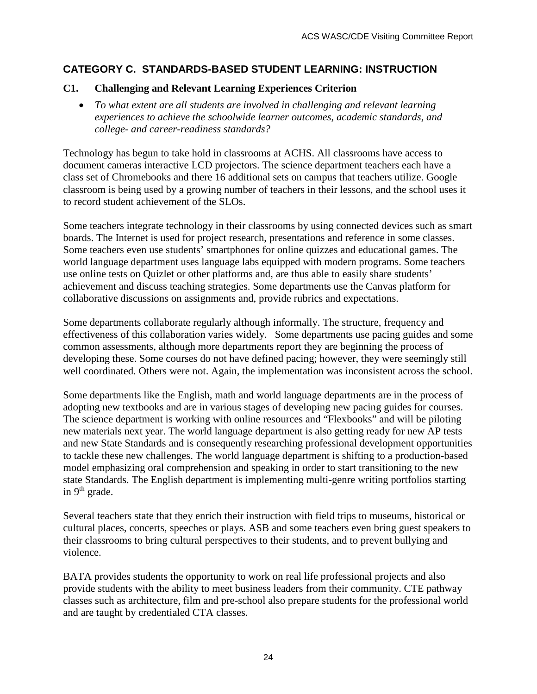### **CATEGORY C. STANDARDS-BASED STUDENT LEARNING: INSTRUCTION**

#### **C1. Challenging and Relevant Learning Experiences Criterion**

• *To what extent are all students are involved in challenging and relevant learning experiences to achieve the schoolwide learner outcomes, academic standards, and college- and career-readiness standards?*

Technology has begun to take hold in classrooms at ACHS. All classrooms have access to document cameras interactive LCD projectors. The science department teachers each have a class set of Chromebooks and there 16 additional sets on campus that teachers utilize. Google classroom is being used by a growing number of teachers in their lessons, and the school uses it to record student achievement of the SLOs.

Some teachers integrate technology in their classrooms by using connected devices such as smart boards. The Internet is used for project research, presentations and reference in some classes. Some teachers even use students' smartphones for online quizzes and educational games. The world language department uses language labs equipped with modern programs. Some teachers use online tests on Quizlet or other platforms and, are thus able to easily share students' achievement and discuss teaching strategies. Some departments use the Canvas platform for collaborative discussions on assignments and, provide rubrics and expectations.

Some departments collaborate regularly although informally. The structure, frequency and effectiveness of this collaboration varies widely. Some departments use pacing guides and some common assessments, although more departments report they are beginning the process of developing these. Some courses do not have defined pacing; however, they were seemingly still well coordinated. Others were not. Again, the implementation was inconsistent across the school.

Some departments like the English, math and world language departments are in the process of adopting new textbooks and are in various stages of developing new pacing guides for courses. The science department is working with online resources and "Flexbooks" and will be piloting new materials next year. The world language department is also getting ready for new AP tests and new State Standards and is consequently researching professional development opportunities to tackle these new challenges. The world language department is shifting to a production-based model emphasizing oral comprehension and speaking in order to start transitioning to the new state Standards. The English department is implementing multi-genre writing portfolios starting in  $9<sup>th</sup>$  grade.

Several teachers state that they enrich their instruction with field trips to museums, historical or cultural places, concerts, speeches or plays. ASB and some teachers even bring guest speakers to their classrooms to bring cultural perspectives to their students, and to prevent bullying and violence.

BATA provides students the opportunity to work on real life professional projects and also provide students with the ability to meet business leaders from their community. CTE pathway classes such as architecture, film and pre-school also prepare students for the professional world and are taught by credentialed CTA classes.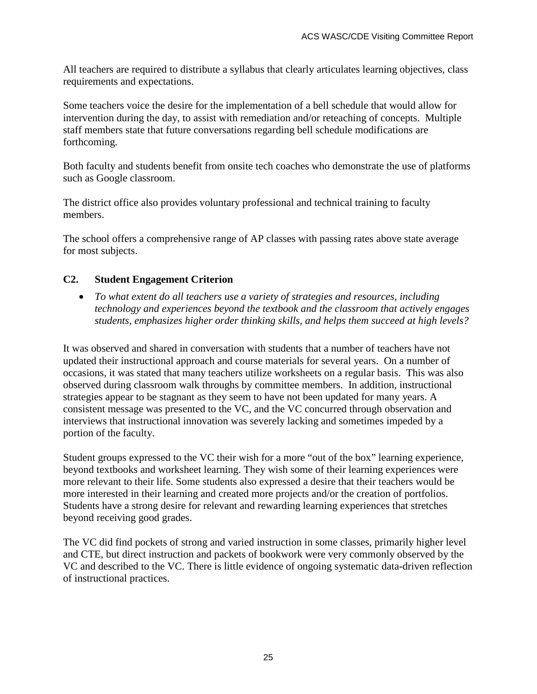All teachers are required to distribute a syllabus that clearly articulates learning objectives, class requirements and expectations.

Some teachers voice the desire for the implementation of a bell schedule that would allow for intervention during the day, to assist with remediation and/or reteaching of concepts. Multiple staff members state that future conversations regarding bell schedule modifications are forthcoming.

Both faculty and students benefit from onsite tech coaches who demonstrate the use of platforms such as Google classroom.

The district office also provides voluntary professional and technical training to faculty members.

The school offers a comprehensive range of AP classes with passing rates above state average for most subjects.

### **C2. Student Engagement Criterion**

• *To what extent do all teachers use a variety of strategies and resources, including technology and experiences beyond the textbook and the classroom that actively engages students, emphasizes higher order thinking skills, and helps them succeed at high levels?*

It was observed and shared in conversation with students that a number of teachers have not updated their instructional approach and course materials for several years. On a number of occasions, it was stated that many teachers utilize worksheets on a regular basis. This was also observed during classroom walk throughs by committee members. In addition, instructional strategies appear to be stagnant as they seem to have not been updated for many years. A consistent message was presented to the VC, and the VC concurred through observation and interviews that instructional innovation was severely lacking and sometimes impeded by a portion of the faculty.

Student groups expressed to the VC their wish for a more "out of the box" learning experience, beyond textbooks and worksheet learning. They wish some of their learning experiences were more relevant to their life. Some students also expressed a desire that their teachers would be more interested in their learning and created more projects and/or the creation of portfolios. Students have a strong desire for relevant and rewarding learning experiences that stretches beyond receiving good grades.

The VC did find pockets of strong and varied instruction in some classes, primarily higher level and CTE, but direct instruction and packets of bookwork were very commonly observed by the VC and described to the VC. There is little evidence of ongoing systematic data-driven reflection of instructional practices.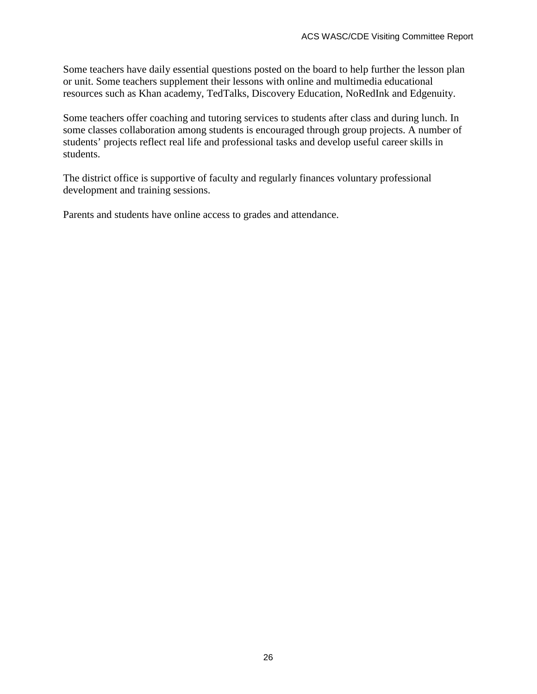Some teachers have daily essential questions posted on the board to help further the lesson plan or unit. Some teachers supplement their lessons with online and multimedia educational resources such as Khan academy, TedTalks, Discovery Education, NoRedInk and Edgenuity.

Some teachers offer coaching and tutoring services to students after class and during lunch. In some classes collaboration among students is encouraged through group projects. A number of students' projects reflect real life and professional tasks and develop useful career skills in students.

The district office is supportive of faculty and regularly finances voluntary professional development and training sessions.

Parents and students have online access to grades and attendance.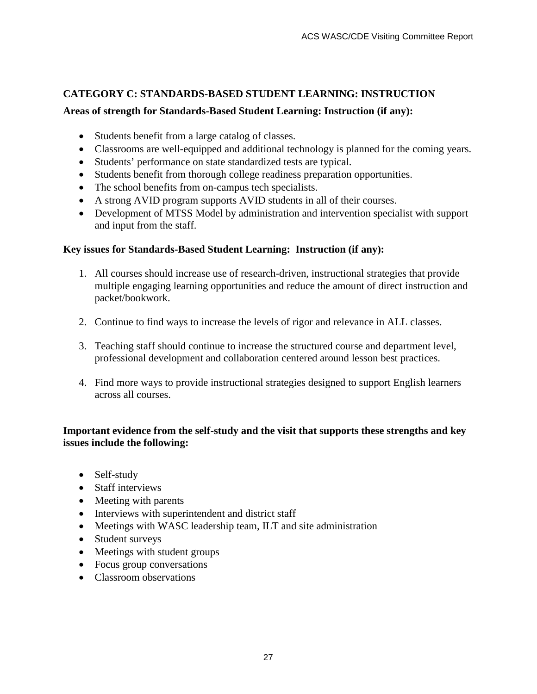#### **CATEGORY C: STANDARDS-BASED STUDENT LEARNING: INSTRUCTION**

#### **Areas of strength for Standards-Based Student Learning: Instruction (if any):**

- Students benefit from a large catalog of classes.
- Classrooms are well-equipped and additional technology is planned for the coming years.
- Students' performance on state standardized tests are typical.
- Students benefit from thorough college readiness preparation opportunities.
- The school benefits from on-campus tech specialists.
- A strong AVID program supports AVID students in all of their courses.
- Development of MTSS Model by administration and intervention specialist with support and input from the staff.

#### **Key issues for Standards-Based Student Learning: Instruction (if any):**

- 1. All courses should increase use of research-driven, instructional strategies that provide multiple engaging learning opportunities and reduce the amount of direct instruction and packet/bookwork.
- 2. Continue to find ways to increase the levels of rigor and relevance in ALL classes.
- 3. Teaching staff should continue to increase the structured course and department level, professional development and collaboration centered around lesson best practices.
- 4. Find more ways to provide instructional strategies designed to support English learners across all courses.

#### **Important evidence from the self-study and the visit that supports these strengths and key issues include the following:**

- Self-study
- Staff interviews
- Meeting with parents
- Interviews with superintendent and district staff
- Meetings with WASC leadership team, ILT and site administration
- Student surveys
- Meetings with student groups
- Focus group conversations
- Classroom observations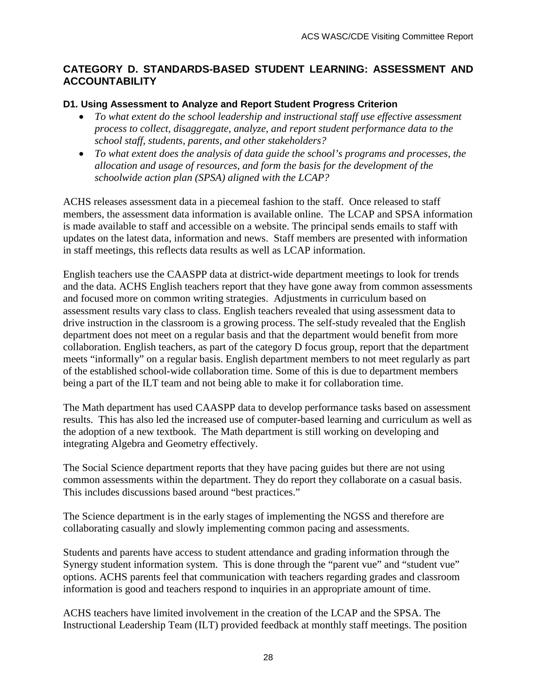#### **CATEGORY D. STANDARDS-BASED STUDENT LEARNING: ASSESSMENT AND ACCOUNTABILITY**

#### **D1. Using Assessment to Analyze and Report Student Progress Criterion**

- *To what extent do the school leadership and instructional staff use effective assessment process to collect, disaggregate, analyze, and report student performance data to the school staff, students, parents, and other stakeholders?*
- *To what extent does the analysis of data guide the school's programs and processes, the allocation and usage of resources, and form the basis for the development of the schoolwide action plan (SPSA) aligned with the LCAP?*

ACHS releases assessment data in a piecemeal fashion to the staff. Once released to staff members, the assessment data information is available online. The LCAP and SPSA information is made available to staff and accessible on a website. The principal sends emails to staff with updates on the latest data, information and news. Staff members are presented with information in staff meetings, this reflects data results as well as LCAP information.

English teachers use the CAASPP data at district-wide department meetings to look for trends and the data. ACHS English teachers report that they have gone away from common assessments and focused more on common writing strategies. Adjustments in curriculum based on assessment results vary class to class. English teachers revealed that using assessment data to drive instruction in the classroom is a growing process. The self-study revealed that the English department does not meet on a regular basis and that the department would benefit from more collaboration. English teachers, as part of the category D focus group, report that the department meets "informally" on a regular basis. English department members to not meet regularly as part of the established school-wide collaboration time. Some of this is due to department members being a part of the ILT team and not being able to make it for collaboration time.

The Math department has used CAASPP data to develop performance tasks based on assessment results. This has also led the increased use of computer-based learning and curriculum as well as the adoption of a new textbook. The Math department is still working on developing and integrating Algebra and Geometry effectively.

The Social Science department reports that they have pacing guides but there are not using common assessments within the department. They do report they collaborate on a casual basis. This includes discussions based around "best practices."

The Science department is in the early stages of implementing the NGSS and therefore are collaborating casually and slowly implementing common pacing and assessments.

Students and parents have access to student attendance and grading information through the Synergy student information system. This is done through the "parent vue" and "student vue" options. ACHS parents feel that communication with teachers regarding grades and classroom information is good and teachers respond to inquiries in an appropriate amount of time.

ACHS teachers have limited involvement in the creation of the LCAP and the SPSA. The Instructional Leadership Team (ILT) provided feedback at monthly staff meetings. The position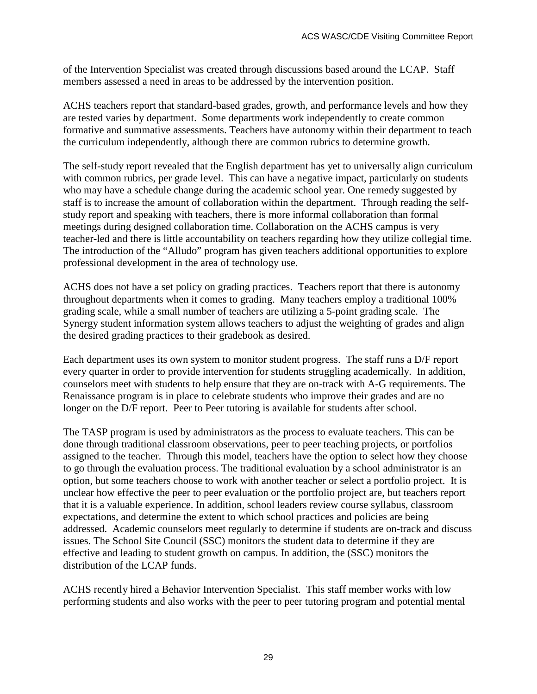of the Intervention Specialist was created through discussions based around the LCAP. Staff members assessed a need in areas to be addressed by the intervention position.

ACHS teachers report that standard-based grades, growth, and performance levels and how they are tested varies by department. Some departments work independently to create common formative and summative assessments. Teachers have autonomy within their department to teach the curriculum independently, although there are common rubrics to determine growth.

The self-study report revealed that the English department has yet to universally align curriculum with common rubrics, per grade level. This can have a negative impact, particularly on students who may have a schedule change during the academic school year. One remedy suggested by staff is to increase the amount of collaboration within the department. Through reading the selfstudy report and speaking with teachers, there is more informal collaboration than formal meetings during designed collaboration time. Collaboration on the ACHS campus is very teacher-led and there is little accountability on teachers regarding how they utilize collegial time. The introduction of the "Alludo" program has given teachers additional opportunities to explore professional development in the area of technology use.

ACHS does not have a set policy on grading practices. Teachers report that there is autonomy throughout departments when it comes to grading. Many teachers employ a traditional 100% grading scale, while a small number of teachers are utilizing a 5-point grading scale. The Synergy student information system allows teachers to adjust the weighting of grades and align the desired grading practices to their gradebook as desired.

Each department uses its own system to monitor student progress. The staff runs a D/F report every quarter in order to provide intervention for students struggling academically. In addition, counselors meet with students to help ensure that they are on-track with A-G requirements. The Renaissance program is in place to celebrate students who improve their grades and are no longer on the D/F report. Peer to Peer tutoring is available for students after school.

The TASP program is used by administrators as the process to evaluate teachers. This can be done through traditional classroom observations, peer to peer teaching projects, or portfolios assigned to the teacher. Through this model, teachers have the option to select how they choose to go through the evaluation process. The traditional evaluation by a school administrator is an option, but some teachers choose to work with another teacher or select a portfolio project. It is unclear how effective the peer to peer evaluation or the portfolio project are, but teachers report that it is a valuable experience. In addition, school leaders review course syllabus, classroom expectations, and determine the extent to which school practices and policies are being addressed. Academic counselors meet regularly to determine if students are on-track and discuss issues. The School Site Council (SSC) monitors the student data to determine if they are effective and leading to student growth on campus. In addition, the (SSC) monitors the distribution of the LCAP funds.

ACHS recently hired a Behavior Intervention Specialist. This staff member works with low performing students and also works with the peer to peer tutoring program and potential mental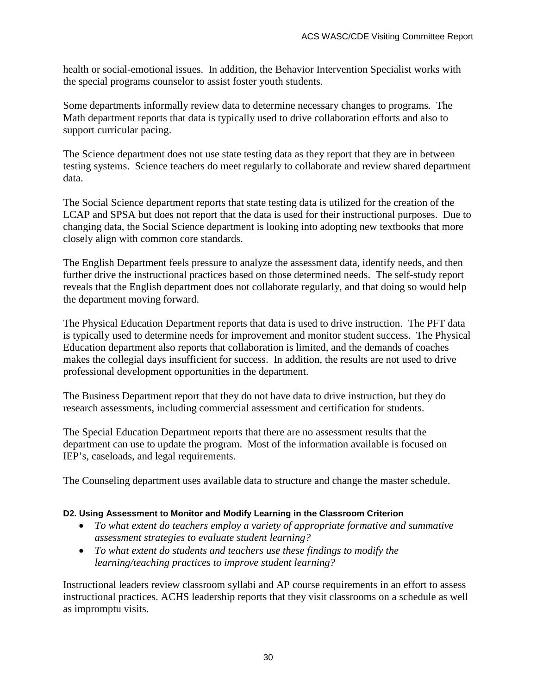health or social-emotional issues. In addition, the Behavior Intervention Specialist works with the special programs counselor to assist foster youth students.

Some departments informally review data to determine necessary changes to programs. The Math department reports that data is typically used to drive collaboration efforts and also to support curricular pacing.

The Science department does not use state testing data as they report that they are in between testing systems. Science teachers do meet regularly to collaborate and review shared department data.

The Social Science department reports that state testing data is utilized for the creation of the LCAP and SPSA but does not report that the data is used for their instructional purposes. Due to changing data, the Social Science department is looking into adopting new textbooks that more closely align with common core standards.

The English Department feels pressure to analyze the assessment data, identify needs, and then further drive the instructional practices based on those determined needs. The self-study report reveals that the English department does not collaborate regularly, and that doing so would help the department moving forward.

The Physical Education Department reports that data is used to drive instruction. The PFT data is typically used to determine needs for improvement and monitor student success. The Physical Education department also reports that collaboration is limited, and the demands of coaches makes the collegial days insufficient for success. In addition, the results are not used to drive professional development opportunities in the department.

The Business Department report that they do not have data to drive instruction, but they do research assessments, including commercial assessment and certification for students.

The Special Education Department reports that there are no assessment results that the department can use to update the program. Most of the information available is focused on IEP's, caseloads, and legal requirements.

The Counseling department uses available data to structure and change the master schedule.

#### **D2. Using Assessment to Monitor and Modify Learning in the Classroom Criterion**

- *To what extent do teachers employ a variety of appropriate formative and summative assessment strategies to evaluate student learning?*
- *To what extent do students and teachers use these findings to modify the learning/teaching practices to improve student learning?*

Instructional leaders review classroom syllabi and AP course requirements in an effort to assess instructional practices. ACHS leadership reports that they visit classrooms on a schedule as well as impromptu visits.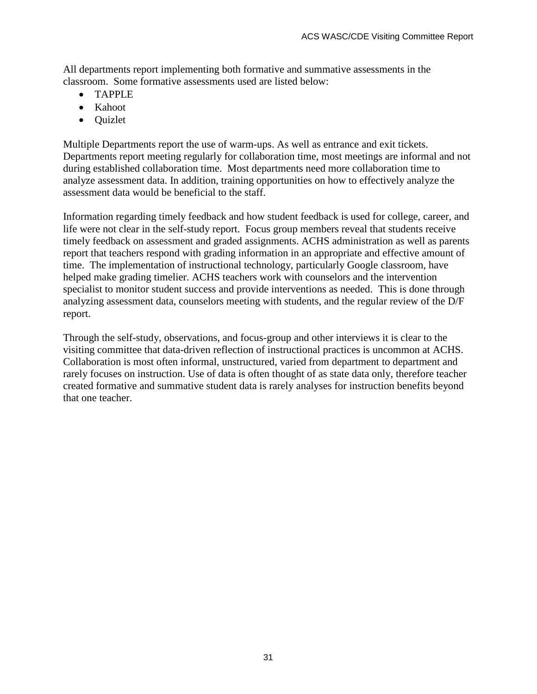All departments report implementing both formative and summative assessments in the classroom. Some formative assessments used are listed below:

- TAPPLE
- Kahoot
- Quizlet

Multiple Departments report the use of warm-ups. As well as entrance and exit tickets. Departments report meeting regularly for collaboration time, most meetings are informal and not during established collaboration time. Most departments need more collaboration time to analyze assessment data. In addition, training opportunities on how to effectively analyze the assessment data would be beneficial to the staff.

Information regarding timely feedback and how student feedback is used for college, career, and life were not clear in the self-study report. Focus group members reveal that students receive timely feedback on assessment and graded assignments. ACHS administration as well as parents report that teachers respond with grading information in an appropriate and effective amount of time. The implementation of instructional technology, particularly Google classroom, have helped make grading timelier. ACHS teachers work with counselors and the intervention specialist to monitor student success and provide interventions as needed. This is done through analyzing assessment data, counselors meeting with students, and the regular review of the D/F report.

Through the self-study, observations, and focus-group and other interviews it is clear to the visiting committee that data-driven reflection of instructional practices is uncommon at ACHS. Collaboration is most often informal, unstructured, varied from department to department and rarely focuses on instruction. Use of data is often thought of as state data only, therefore teacher created formative and summative student data is rarely analyses for instruction benefits beyond that one teacher.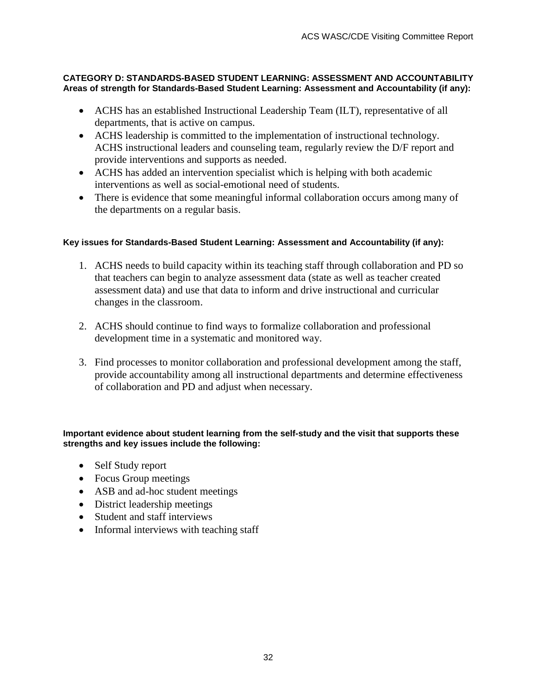#### **CATEGORY D: STANDARDS-BASED STUDENT LEARNING: ASSESSMENT AND ACCOUNTABILITY Areas of strength for Standards-Based Student Learning: Assessment and Accountability (if any):**

- ACHS has an established Instructional Leadership Team (ILT), representative of all departments, that is active on campus.
- ACHS leadership is committed to the implementation of instructional technology. ACHS instructional leaders and counseling team, regularly review the D/F report and provide interventions and supports as needed.
- ACHS has added an intervention specialist which is helping with both academic interventions as well as social-emotional need of students.
- There is evidence that some meaningful informal collaboration occurs among many of the departments on a regular basis.

#### **Key issues for Standards-Based Student Learning: Assessment and Accountability (if any):**

- 1. ACHS needs to build capacity within its teaching staff through collaboration and PD so that teachers can begin to analyze assessment data (state as well as teacher created assessment data) and use that data to inform and drive instructional and curricular changes in the classroom.
- 2. ACHS should continue to find ways to formalize collaboration and professional development time in a systematic and monitored way.
- 3. Find processes to monitor collaboration and professional development among the staff, provide accountability among all instructional departments and determine effectiveness of collaboration and PD and adjust when necessary.

#### **Important evidence about student learning from the self-study and the visit that supports these strengths and key issues include the following:**

- Self Study report
- Focus Group meetings
- ASB and ad-hoc student meetings
- District leadership meetings
- Student and staff interviews
- Informal interviews with teaching staff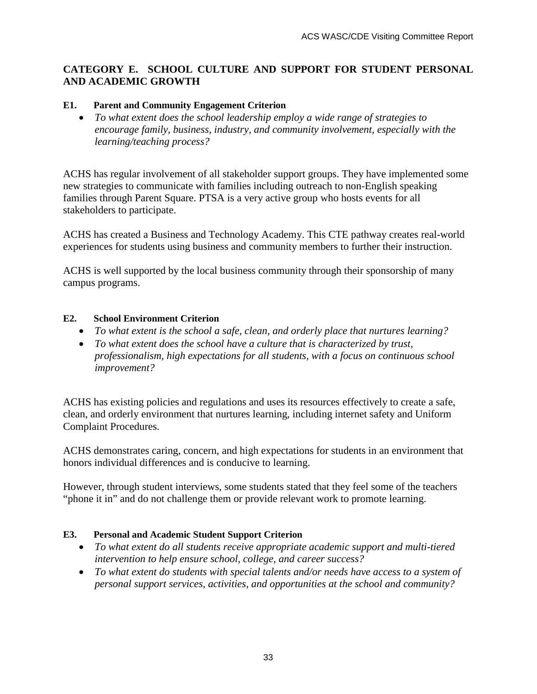#### **CATEGORY E. SCHOOL CULTURE AND SUPPORT FOR STUDENT PERSONAL AND ACADEMIC GROWTH**

#### **E1. Parent and Community Engagement Criterion**

• *To what extent does the school leadership employ a wide range of strategies to encourage family, business, industry, and community involvement, especially with the learning/teaching process?*

ACHS has regular involvement of all stakeholder support groups. They have implemented some new strategies to communicate with families including outreach to non-English speaking families through Parent Square. PTSA is a very active group who hosts events for all stakeholders to participate.

ACHS has created a Business and Technology Academy. This CTE pathway creates real-world experiences for students using business and community members to further their instruction.

ACHS is well supported by the local business community through their sponsorship of many campus programs.

#### **E2. School Environment Criterion**

- *To what extent is the school a safe, clean, and orderly place that nurtures learning?*
- *To what extent does the school have a culture that is characterized by trust, professionalism, high expectations for all students, with a focus on continuous school improvement?*

ACHS has existing policies and regulations and uses its resources effectively to create a safe, clean, and orderly environment that nurtures learning, including internet safety and Uniform Complaint Procedures.

ACHS demonstrates caring, concern, and high expectations for students in an environment that honors individual differences and is conducive to learning.

However, through student interviews, some students stated that they feel some of the teachers "phone it in" and do not challenge them or provide relevant work to promote learning.

#### **E3. Personal and Academic Student Support Criterion**

- *To what extent do all students receive appropriate academic support and multi-tiered intervention to help ensure school, college, and career success?*
- *To what extent do students with special talents and/or needs have access to a system of personal support services, activities, and opportunities at the school and community?*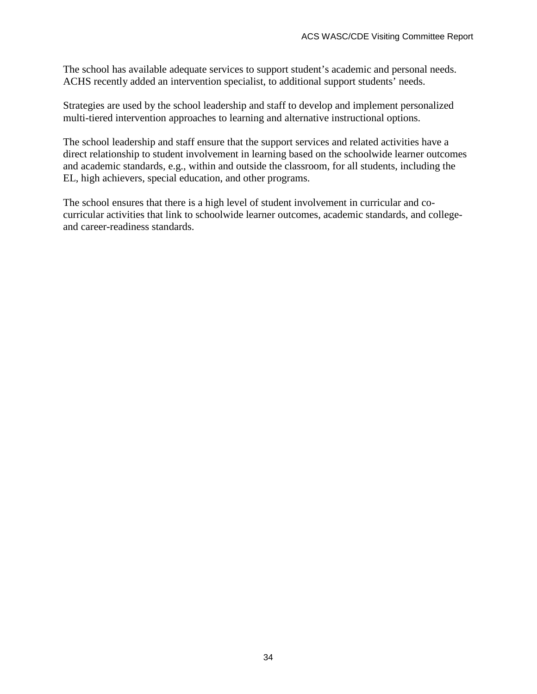The school has available adequate services to support student's academic and personal needs. ACHS recently added an intervention specialist, to additional support students' needs.

Strategies are used by the school leadership and staff to develop and implement personalized multi-tiered intervention approaches to learning and alternative instructional options.

The school leadership and staff ensure that the support services and related activities have a direct relationship to student involvement in learning based on the schoolwide learner outcomes and academic standards, e.g., within and outside the classroom, for all students, including the EL, high achievers, special education, and other programs.

The school ensures that there is a high level of student involvement in curricular and cocurricular activities that link to schoolwide learner outcomes, academic standards, and collegeand career-readiness standards.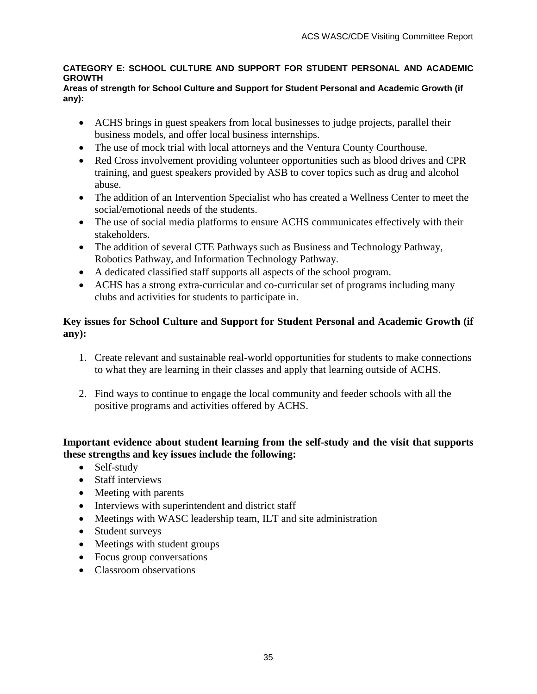#### **CATEGORY E: SCHOOL CULTURE AND SUPPORT FOR STUDENT PERSONAL AND ACADEMIC GROWTH**

#### **Areas of strength for School Culture and Support for Student Personal and Academic Growth (if any):**

- ACHS brings in guest speakers from local businesses to judge projects, parallel their business models, and offer local business internships.
- The use of mock trial with local attorneys and the Ventura County Courthouse.
- Red Cross involvement providing volunteer opportunities such as blood drives and CPR training, and guest speakers provided by ASB to cover topics such as drug and alcohol abuse.
- The addition of an Intervention Specialist who has created a Wellness Center to meet the social/emotional needs of the students.
- The use of social media platforms to ensure ACHS communicates effectively with their stakeholders.
- The addition of several CTE Pathways such as Business and Technology Pathway, Robotics Pathway, and Information Technology Pathway.
- A dedicated classified staff supports all aspects of the school program.
- ACHS has a strong extra-curricular and co-curricular set of programs including many clubs and activities for students to participate in.

#### **Key issues for School Culture and Support for Student Personal and Academic Growth (if any):**

- 1. Create relevant and sustainable real-world opportunities for students to make connections to what they are learning in their classes and apply that learning outside of ACHS.
- 2. Find ways to continue to engage the local community and feeder schools with all the positive programs and activities offered by ACHS.

#### **Important evidence about student learning from the self-study and the visit that supports these strengths and key issues include the following:**

- Self-study
- Staff interviews
- Meeting with parents
- Interviews with superintendent and district staff
- Meetings with WASC leadership team, ILT and site administration
- Student surveys
- Meetings with student groups
- Focus group conversations
- Classroom observations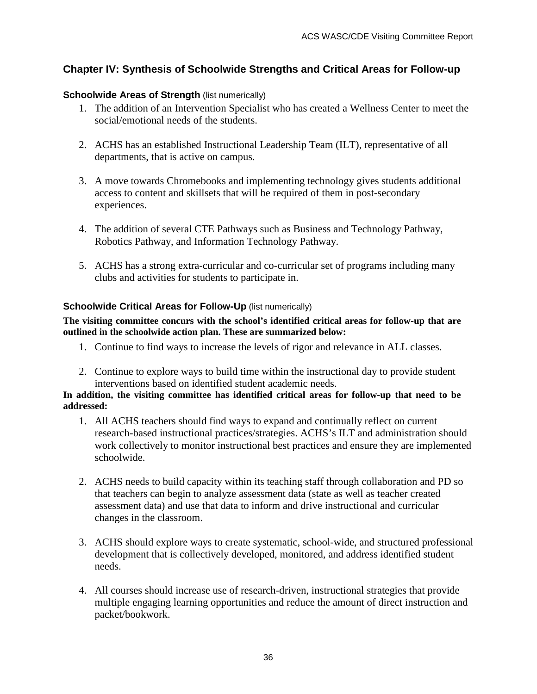### **Chapter IV: Synthesis of Schoolwide Strengths and Critical Areas for Follow-up**

#### **Schoolwide Areas of Strength (list numerically)**

- 1. The addition of an Intervention Specialist who has created a Wellness Center to meet the social/emotional needs of the students.
- 2. ACHS has an established Instructional Leadership Team (ILT), representative of all departments, that is active on campus.
- 3. A move towards Chromebooks and implementing technology gives students additional access to content and skillsets that will be required of them in post-secondary experiences.
- 4. The addition of several CTE Pathways such as Business and Technology Pathway, Robotics Pathway, and Information Technology Pathway.
- 5. ACHS has a strong extra-curricular and co-curricular set of programs including many clubs and activities for students to participate in.

#### **Schoolwide Critical Areas for Follow-Up** (list numerically)

#### **The visiting committee concurs with the school's identified critical areas for follow-up that are outlined in the schoolwide action plan. These are summarized below:**

- 1. Continue to find ways to increase the levels of rigor and relevance in ALL classes.
- 2. Continue to explore ways to build time within the instructional day to provide student interventions based on identified student academic needs.

#### **In addition, the visiting committee has identified critical areas for follow-up that need to be addressed:**

- 1. All ACHS teachers should find ways to expand and continually reflect on current research-based instructional practices/strategies. ACHS's ILT and administration should work collectively to monitor instructional best practices and ensure they are implemented schoolwide.
- 2. ACHS needs to build capacity within its teaching staff through collaboration and PD so that teachers can begin to analyze assessment data (state as well as teacher created assessment data) and use that data to inform and drive instructional and curricular changes in the classroom.
- 3. ACHS should explore ways to create systematic, school-wide, and structured professional development that is collectively developed, monitored, and address identified student needs.
- 4. All courses should increase use of research-driven, instructional strategies that provide multiple engaging learning opportunities and reduce the amount of direct instruction and packet/bookwork.